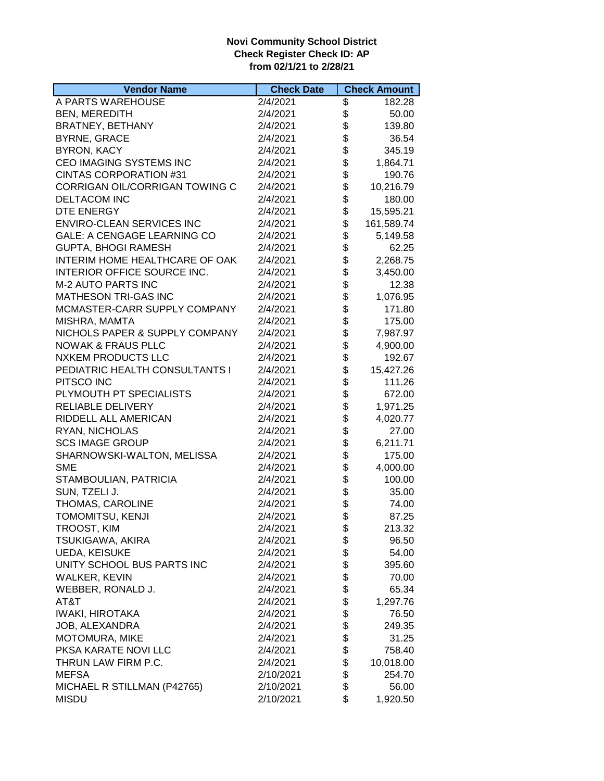## **Novi Community School District Check Register Check ID: AP from 02/1/21 to 2/28/21**

| <b>Vendor Name</b>                 | <b>Check Date</b> | <b>Check Amount</b> |
|------------------------------------|-------------------|---------------------|
| A PARTS WAREHOUSE                  | 2/4/2021          | \$<br>182.28        |
| <b>BEN, MEREDITH</b>               | 2/4/2021          | \$<br>50.00         |
| <b>BRATNEY, BETHANY</b>            | 2/4/2021          | \$<br>139.80        |
| <b>BYRNE, GRACE</b>                | 2/4/2021          | \$<br>36.54         |
| <b>BYRON, KACY</b>                 | 2/4/2021          | \$<br>345.19        |
| CEO IMAGING SYSTEMS INC            | 2/4/2021          | \$<br>1,864.71      |
| CINTAS CORPORATION #31             | 2/4/2021          | \$<br>190.76        |
| CORRIGAN OIL/CORRIGAN TOWING C     | 2/4/2021          | \$<br>10,216.79     |
| <b>DELTACOM INC</b>                | 2/4/2021          | \$<br>180.00        |
| DTE ENERGY                         | 2/4/2021          | \$<br>15,595.21     |
| <b>ENVIRO-CLEAN SERVICES INC</b>   | 2/4/2021          | \$<br>161,589.74    |
| <b>GALE: A CENGAGE LEARNING CO</b> | 2/4/2021          | \$<br>5,149.58      |
| <b>GUPTA, BHOGI RAMESH</b>         | 2/4/2021          | \$<br>62.25         |
| INTERIM HOME HEALTHCARE OF OAK     | 2/4/2021          | \$<br>2,268.75      |
| INTERIOR OFFICE SOURCE INC.        | 2/4/2021          | \$<br>3,450.00      |
| <b>M-2 AUTO PARTS INC</b>          | 2/4/2021          | \$<br>12.38         |
| MATHESON TRI-GAS INC               | 2/4/2021          | \$<br>1,076.95      |
| MCMASTER-CARR SUPPLY COMPANY       | 2/4/2021          | \$<br>171.80        |
| MISHRA, MAMTA                      | 2/4/2021          | \$<br>175.00        |
| NICHOLS PAPER & SUPPLY COMPANY     | 2/4/2021          | \$<br>7,987.97      |
| <b>NOWAK &amp; FRAUS PLLC</b>      | 2/4/2021          | \$<br>4,900.00      |
| <b>NXKEM PRODUCTS LLC</b>          | 2/4/2021          | \$<br>192.67        |
| PEDIATRIC HEALTH CONSULTANTS I     | 2/4/2021          | \$<br>15,427.26     |
|                                    |                   | \$                  |
| PITSCO INC                         | 2/4/2021          | \$<br>111.26        |
| PLYMOUTH PT SPECIALISTS            | 2/4/2021          | 672.00              |
| <b>RELIABLE DELIVERY</b>           | 2/4/2021          | \$<br>1,971.25      |
| RIDDELL ALL AMERICAN               | 2/4/2021          | \$<br>4,020.77      |
| RYAN, NICHOLAS                     | 2/4/2021          | \$<br>27.00         |
| <b>SCS IMAGE GROUP</b>             | 2/4/2021          | \$<br>6,211.71      |
| SHARNOWSKI-WALTON, MELISSA         | 2/4/2021          | \$<br>175.00        |
| <b>SME</b>                         | 2/4/2021          | \$<br>4,000.00      |
| STAMBOULIAN, PATRICIA              | 2/4/2021          | \$<br>100.00        |
| SUN, TZELI J.                      | 2/4/2021          | \$<br>35.00         |
| THOMAS, CAROLINE                   | 2/4/2021          | \$<br>74.00         |
| TOMOMITSU, KENJI                   | 2/4/2021          | \$<br>87.25         |
| TROOST, KIM                        | 2/4/2021          | \$<br>213.32        |
| TSUKIGAWA, AKIRA                   | 2/4/2021          | \$<br>96.50         |
| UEDA, KEISUKE                      | 2/4/2021          | \$<br>54.00         |
| UNITY SCHOOL BUS PARTS INC         | 2/4/2021          | \$<br>395.60        |
| <b>WALKER, KEVIN</b>               | 2/4/2021          | \$<br>70.00         |
| WEBBER, RONALD J.                  | 2/4/2021          | \$<br>65.34         |
| AT&T                               | 2/4/2021          | \$<br>1,297.76      |
| <b>IWAKI, HIROTAKA</b>             | 2/4/2021          | \$<br>76.50         |
| JOB, ALEXANDRA                     | 2/4/2021          | \$<br>249.35        |
| MOTOMURA, MIKE                     | 2/4/2021          | \$<br>31.25         |
| PKSA KARATE NOVI LLC               | 2/4/2021          | \$<br>758.40        |
| THRUN LAW FIRM P.C.                | 2/4/2021          | \$<br>10,018.00     |
| <b>MEFSA</b>                       | 2/10/2021         | \$<br>254.70        |
| MICHAEL R STILLMAN (P42765)        | 2/10/2021         | \$<br>56.00         |
| <b>MISDU</b>                       | 2/10/2021         | \$<br>1,920.50      |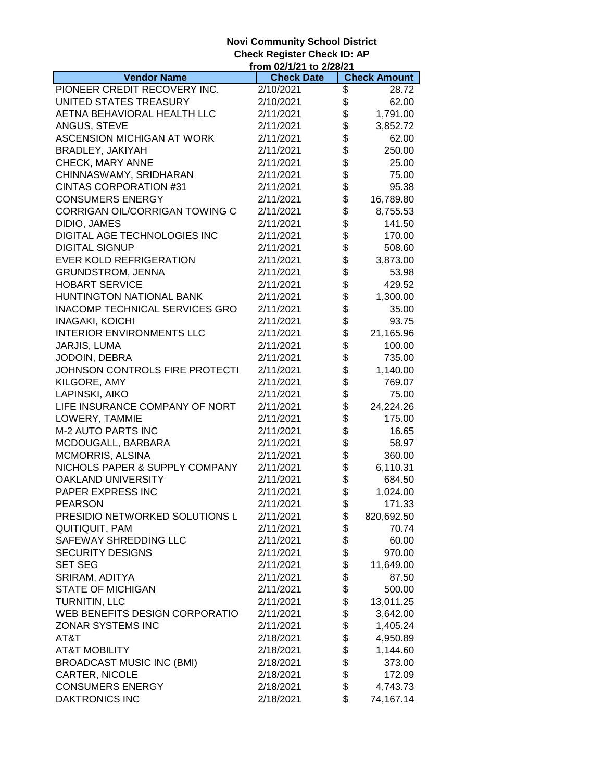## **Novi Community School District Check Register Check ID: AP**

|                                       | <u>from 02/1/21 to 2/28/21</u> |             |                     |
|---------------------------------------|--------------------------------|-------------|---------------------|
| <b>Vendor Name</b>                    | <b>Check Date</b>              |             | <b>Check Amount</b> |
| PIONEER CREDIT RECOVERY INC.          | 2/10/2021                      | \$          | 28.72               |
| UNITED STATES TREASURY                | 2/10/2021                      | \$          | 62.00               |
| AETNA BEHAVIORAL HEALTH LLC           | 2/11/2021                      | \$          | 1,791.00            |
| ANGUS, STEVE                          | 2/11/2021                      | \$          | 3,852.72            |
| ASCENSION MICHIGAN AT WORK            | 2/11/2021                      | \$          | 62.00               |
| BRADLEY, JAKIYAH                      | 2/11/2021                      | \$          | 250.00              |
| CHECK, MARY ANNE                      | 2/11/2021                      | \$          | 25.00               |
| CHINNASWAMY, SRIDHARAN                | 2/11/2021                      | \$          | 75.00               |
| <b>CINTAS CORPORATION #31</b>         | 2/11/2021                      | \$          | 95.38               |
| <b>CONSUMERS ENERGY</b>               | 2/11/2021                      | \$          | 16,789.80           |
| CORRIGAN OIL/CORRIGAN TOWING C        | 2/11/2021                      | \$          | 8,755.53            |
| DIDIO, JAMES                          | 2/11/2021                      | \$          | 141.50              |
| DIGITAL AGE TECHNOLOGIES INC          | 2/11/2021                      | \$          | 170.00              |
| <b>DIGITAL SIGNUP</b>                 | 2/11/2021                      | \$          | 508.60              |
| <b>EVER KOLD REFRIGERATION</b>        | 2/11/2021                      | \$          | 3,873.00            |
| <b>GRUNDSTROM, JENNA</b>              | 2/11/2021                      | \$          | 53.98               |
| <b>HOBART SERVICE</b>                 |                                | \$          |                     |
|                                       | 2/11/2021                      |             | 429.52              |
| HUNTINGTON NATIONAL BANK              | 2/11/2021                      | \$          | 1,300.00            |
| <b>INACOMP TECHNICAL SERVICES GRO</b> | 2/11/2021                      | \$<br>\$    | 35.00               |
| <b>INAGAKI, KOICHI</b>                | 2/11/2021                      |             | 93.75               |
| <b>INTERIOR ENVIRONMENTS LLC</b>      | 2/11/2021                      | \$          | 21,165.96           |
| JARJIS, LUMA                          | 2/11/2021                      | \$          | 100.00              |
| JODOIN, DEBRA                         | 2/11/2021                      | \$          | 735.00              |
| JOHNSON CONTROLS FIRE PROTECTI        | 2/11/2021                      | \$          | 1,140.00            |
| KILGORE, AMY                          | 2/11/2021                      | \$          | 769.07              |
| LAPINSKI, AIKO                        | 2/11/2021                      | \$          | 75.00               |
| LIFE INSURANCE COMPANY OF NORT        | 2/11/2021                      | \$          | 24,224.26           |
| LOWERY, TAMMIE                        | 2/11/2021                      | \$          | 175.00              |
| M-2 AUTO PARTS INC                    | 2/11/2021                      | \$          | 16.65               |
| MCDOUGALL, BARBARA                    | 2/11/2021                      | \$          | 58.97               |
| <b>MCMORRIS, ALSINA</b>               | 2/11/2021                      | \$<br>\$    | 360.00              |
| NICHOLS PAPER & SUPPLY COMPANY        | 2/11/2021                      |             | 6,110.31            |
| OAKLAND UNIVERSITY                    | 2/11/2021                      | \$          | 684.50              |
| PAPER EXPRESS INC                     | 2/11/2021                      | $\ddot{\$}$ | 1,024.00            |
| PEARSON                               | 2/11/2021                      | \$          | 171.33              |
| PRESIDIO NETWORKED SOLUTIONS L        | 2/11/2021                      | \$          | 820,692.50          |
| QUITIQUIT, PAM                        | 2/11/2021                      | \$          | 70.74               |
| SAFEWAY SHREDDING LLC                 | 2/11/2021                      | \$          | 60.00               |
| <b>SECURITY DESIGNS</b>               | 2/11/2021                      | \$          | 970.00              |
| <b>SET SEG</b>                        | 2/11/2021                      | \$          | 11,649.00           |
| SRIRAM, ADITYA                        | 2/11/2021                      | \$          | 87.50               |
| <b>STATE OF MICHIGAN</b>              | 2/11/2021                      | \$          | 500.00              |
| TURNITIN, LLC                         | 2/11/2021                      | \$          | 13,011.25           |
| WEB BENEFITS DESIGN CORPORATIO        | 2/11/2021                      | \$          | 3,642.00            |
| ZONAR SYSTEMS INC                     | 2/11/2021                      | \$          | 1,405.24            |
| AT&T                                  | 2/18/2021                      | \$          | 4,950.89            |
| <b>AT&amp;T MOBILITY</b>              | 2/18/2021                      | \$          | 1,144.60            |
| <b>BROADCAST MUSIC INC (BMI)</b>      | 2/18/2021                      | \$          | 373.00              |
| CARTER, NICOLE                        | 2/18/2021                      | \$          | 172.09              |
| <b>CONSUMERS ENERGY</b>               | 2/18/2021                      | \$          | 4,743.73            |
|                                       |                                | \$          |                     |
| DAKTRONICS INC                        | 2/18/2021                      |             | 74,167.14           |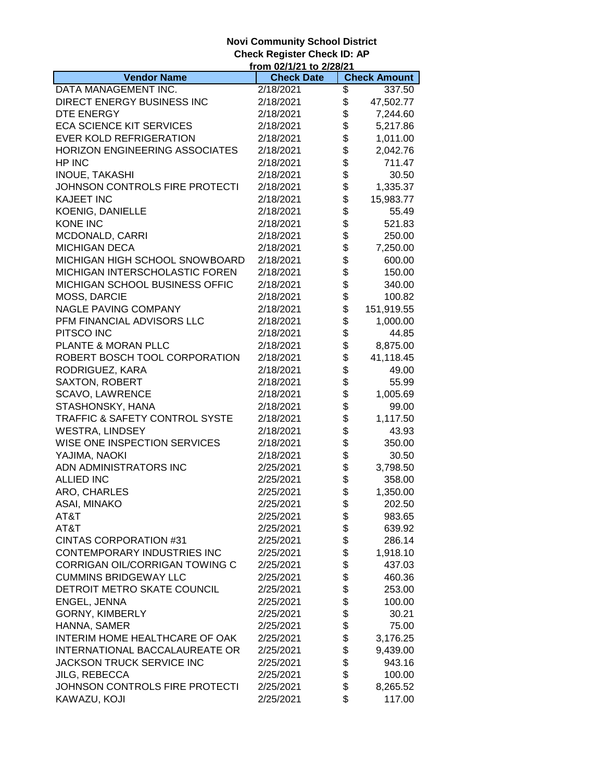## **Novi Community School District Check Register Check ID: AP**

|                                           | from 02/1/21 to 2/28/21 |          |                     |
|-------------------------------------------|-------------------------|----------|---------------------|
| <b>Vendor Name</b>                        | <b>Check Date</b>       |          | <b>Check Amount</b> |
| DATA MANAGEMENT INC.                      | 2/18/2021               | \$       | 337.50              |
| DIRECT ENERGY BUSINESS INC                | 2/18/2021               | \$       | 47,502.77           |
| DTE ENERGY                                | 2/18/2021               | \$       | 7,244.60            |
| <b>ECA SCIENCE KIT SERVICES</b>           | 2/18/2021               | \$       | 5,217.86            |
| <b>EVER KOLD REFRIGERATION</b>            | 2/18/2021               | \$       | 1,011.00            |
| HORIZON ENGINEERING ASSOCIATES            | 2/18/2021               | \$       | 2,042.76            |
| HP INC                                    | 2/18/2021               | \$       | 711.47              |
| INOUE, TAKASHI                            | 2/18/2021               | \$       | 30.50               |
| JOHNSON CONTROLS FIRE PROTECTI            | 2/18/2021               | \$       | 1,335.37            |
| <b>KAJEET INC</b>                         | 2/18/2021               | \$       | 15,983.77           |
| <b>KOENIG, DANIELLE</b>                   | 2/18/2021               | \$       | 55.49               |
| <b>KONE INC</b>                           | 2/18/2021               | \$       | 521.83              |
| MCDONALD, CARRI                           | 2/18/2021               | \$       | 250.00              |
| <b>MICHIGAN DECA</b>                      | 2/18/2021               | \$       | 7,250.00            |
| MICHIGAN HIGH SCHOOL SNOWBOARD            | 2/18/2021               | \$       | 600.00              |
| MICHIGAN INTERSCHOLASTIC FOREN            | 2/18/2021               | \$       | 150.00              |
| MICHIGAN SCHOOL BUSINESS OFFIC            | 2/18/2021               |          | 340.00              |
| MOSS, DARCIE                              | 2/18/2021               | \$<br>\$ | 100.82              |
| NAGLE PAVING COMPANY                      | 2/18/2021               | \$       | 151,919.55          |
| PFM FINANCIAL ADVISORS LLC                | 2/18/2021               | \$       | 1,000.00            |
| PITSCO INC                                | 2/18/2021               | \$       | 44.85               |
| PLANTE & MORAN PLLC                       | 2/18/2021               | \$       | 8,875.00            |
| ROBERT BOSCH TOOL CORPORATION             | 2/18/2021               | \$       | 41,118.45           |
| RODRIGUEZ, KARA                           | 2/18/2021               | \$       | 49.00               |
| <b>SAXTON, ROBERT</b>                     | 2/18/2021               | \$       | 55.99               |
| <b>SCAVO, LAWRENCE</b>                    | 2/18/2021               | \$       | 1,005.69            |
| STASHONSKY, HANA                          | 2/18/2021               | \$       | 99.00               |
| <b>TRAFFIC &amp; SAFETY CONTROL SYSTE</b> | 2/18/2021               | \$       | 1,117.50            |
| <b>WESTRA, LINDSEY</b>                    | 2/18/2021               | \$       | 43.93               |
| WISE ONE INSPECTION SERVICES              | 2/18/2021               | \$       | 350.00              |
| YAJIMA, NAOKI                             | 2/18/2021               | \$       | 30.50               |
| ADN ADMINISTRATORS INC                    | 2/25/2021               | \$       | 3,798.50            |
| <b>ALLIED INC</b>                         | 2/25/2021               | \$       |                     |
|                                           |                         | \$       | 358.00              |
| ARO, CHARLES                              | 2/25/2021               | \$       | 1,350.00            |
| ASAI, MINAKO                              | 2/25/2021               |          | 202.50              |
| AT&T                                      | 2/25/2021               | \$       | 983.65              |
| AT&T                                      | 2/25/2021               | \$       | 639.92              |
| <b>CINTAS CORPORATION #31</b>             | 2/25/2021               | \$       | 286.14              |
| <b>CONTEMPORARY INDUSTRIES INC</b>        | 2/25/2021               | \$       | 1,918.10            |
| CORRIGAN OIL/CORRIGAN TOWING C            | 2/25/2021               | \$       | 437.03              |
| <b>CUMMINS BRIDGEWAY LLC</b>              | 2/25/2021               | \$       | 460.36              |
| DETROIT METRO SKATE COUNCIL               | 2/25/2021               | \$       | 253.00              |
| ENGEL, JENNA                              | 2/25/2021               | \$       | 100.00              |
| <b>GORNY, KIMBERLY</b>                    | 2/25/2021               | \$       | 30.21               |
| HANNA, SAMER                              | 2/25/2021               | \$       | 75.00               |
| INTERIM HOME HEALTHCARE OF OAK            | 2/25/2021               | \$       | 3,176.25            |
| INTERNATIONAL BACCALAUREATE OR            | 2/25/2021               | \$       | 9,439.00            |
| JACKSON TRUCK SERVICE INC                 | 2/25/2021               | \$       | 943.16              |
| <b>JILG, REBECCA</b>                      | 2/25/2021               | \$       | 100.00              |
| JOHNSON CONTROLS FIRE PROTECTI            | 2/25/2021               | \$       | 8,265.52            |
| KAWAZU, KOJI                              | 2/25/2021               | \$       | 117.00              |